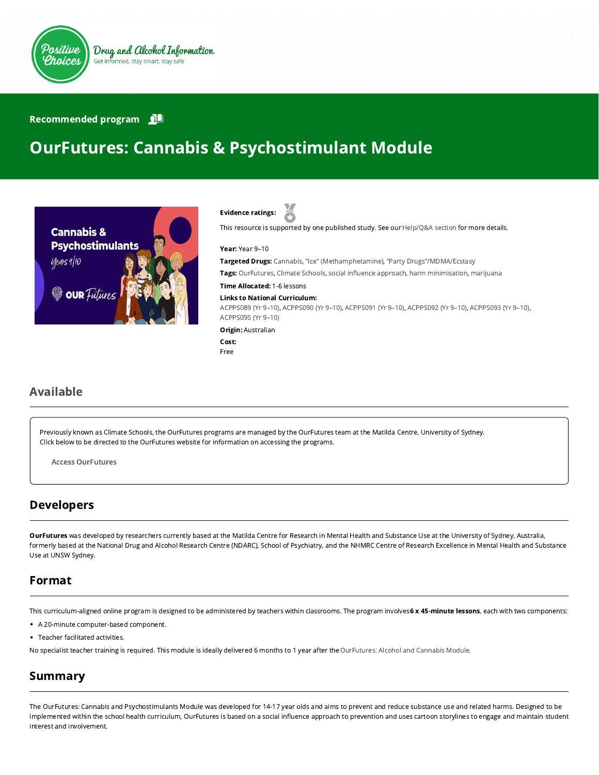

#### Recommended program

# OurFutures: Cannabis & Psychostimulant Module





This resource is supported by one published study. See our [Help/Q&A section](https://positivechoices.org.au/help/questions-and-answers/) for more details.

Year: Year 9–10

Targeted Drugs: Cannabis, "Ice" (Methamphetamine), "Party Drugs"/MDMA/Ecstasy

Tags: OurFutures, Climate Schools, social influence approach, harm minimisation, marijuana

Time Allocated: 1-6 lessons

#### Links to National Curriculum:

[ACPPS089 \(Yr 9–10\),](http://www.australiancurriculum.edu.au/Curriculum/ContentDescription/ACPPS089) [ACPPS090 \(Yr 9–10\),](http://www.australiancurriculum.edu.au/Curriculum/ContentDescription/ACPPS090) [ACPPS091 \(Yr 9–10\),](http://www.australiancurriculum.edu.au/Curriculum/ContentDescription/ACPPS091) [ACPPS092 \(Yr 9–10\)](http://www.australiancurriculum.edu.au/Curriculum/ContentDescription/ACPPS092), [ACPPS093 \(Yr 9–10\)](http://www.australiancurriculum.edu.au/Curriculum/ContentDescription/ACPPS093), [ACPPS095 \(Yr 9–10\)](http://www.australiancurriculum.edu.au/Curriculum/ContentDescription/ACPPS095)

Origin: Australian

Cost: Free

#### Available

Previously known as Climate Schools, the OurFutures programs are managed by the OurFutures team at the Matilda Centre, University of Sydney. Click below to be directed to the OurFutures website for information on accessing the programs.

Access [OurFutures](https://ourfutures.education/)

#### Developers

OurFutures was developed by researchers currently based at the Matilda Centre for Research in Mental Health and Substance Use at the University of Sydney, Australia, formerly based at the National Drug and Alcohol Research Centre (NDARC), School of Psychiatry, and the NHMRC Centre of Research Excellence in Mental Health and Substance Use at UNSW Sydney.

#### Format

This curriculum-aligned online program is designed to be administered by teachers within classrooms. The program involves 6 x 45-minute lessons, each with two components:

- A 20-minute computer-based component.
- Teacher facilitated activities.

No specialist teacher training is required. This module is ideally delivered 6 months to 1 year after the [OurFutures: Alcohol and Cannabis Module.](https://positivechoices.org.au/teachers/climate-schools-alcohol-cannabis-module/)

### Summary

The OurFutures: Cannabis and Psychostimulants Module was developed for 14-17 year olds and aims to prevent and reduce substance use and related harms. Designed to be implemented within the school health curriculum, OurFutures is based on a social influence approach to prevention and uses cartoon storylines to engage and maintain student interest and involvement.